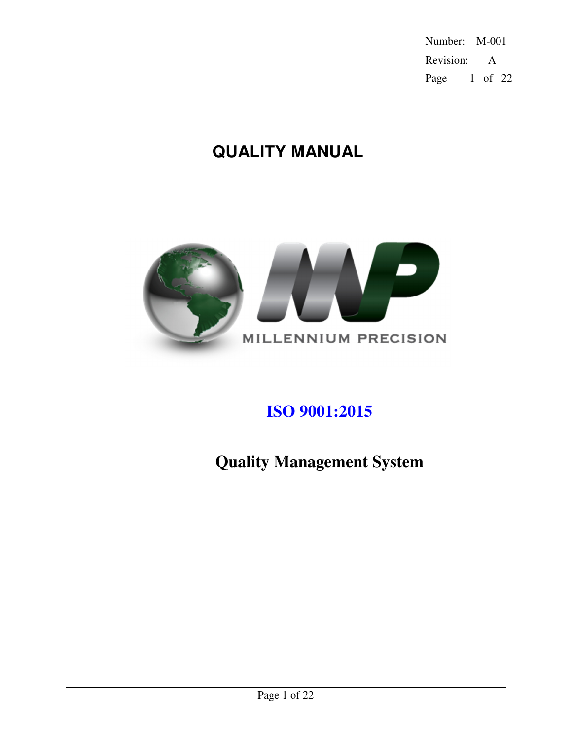Number: M-001 Revision: A Page 1 of 22

# **QUALITY MANUAL**



# **ISO 9001:2015**

**Quality Management System**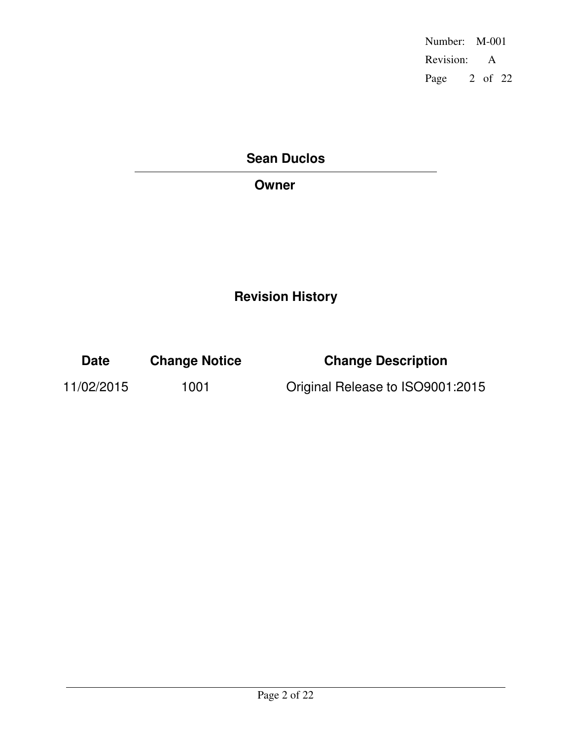Number: M-001 Revision: A Page 2 of 22

# **Sean Duclos**

# **Owner**

# **Revision History**

| <b>Date</b> | <b>Change Notice</b> | <b>Change Description</b>        |
|-------------|----------------------|----------------------------------|
| 11/02/2015  | 1001                 | Original Release to ISO9001:2015 |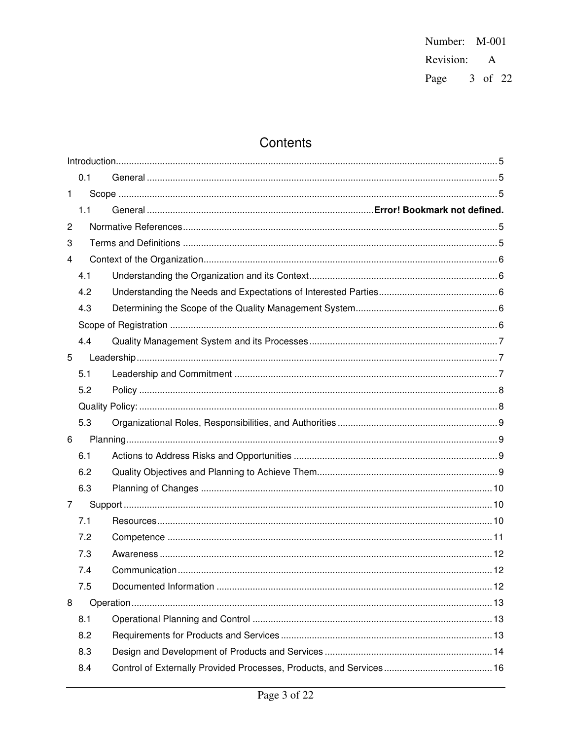Number: M-001 Revision: A Page 3 of 22

# Contents

|                | 0.1 |  |  |  |  |
|----------------|-----|--|--|--|--|
| $\mathbf{1}$   |     |  |  |  |  |
|                | 1.1 |  |  |  |  |
| $\overline{c}$ |     |  |  |  |  |
| 3              |     |  |  |  |  |
| 4              |     |  |  |  |  |
|                | 4.1 |  |  |  |  |
|                | 4.2 |  |  |  |  |
|                | 4.3 |  |  |  |  |
|                |     |  |  |  |  |
|                | 4.4 |  |  |  |  |
| 5              |     |  |  |  |  |
|                | 5.1 |  |  |  |  |
|                | 5.2 |  |  |  |  |
|                |     |  |  |  |  |
|                | 5.3 |  |  |  |  |
| 6              |     |  |  |  |  |
|                | 6.1 |  |  |  |  |
|                | 6.2 |  |  |  |  |
|                | 6.3 |  |  |  |  |
| 7              |     |  |  |  |  |
|                | 7.1 |  |  |  |  |
|                | 7.2 |  |  |  |  |
|                | 7.3 |  |  |  |  |
|                | 7.4 |  |  |  |  |
|                | 7.5 |  |  |  |  |
| 8              |     |  |  |  |  |
|                | 8.1 |  |  |  |  |
|                | 8.2 |  |  |  |  |
|                | 8.3 |  |  |  |  |
|                | 8.4 |  |  |  |  |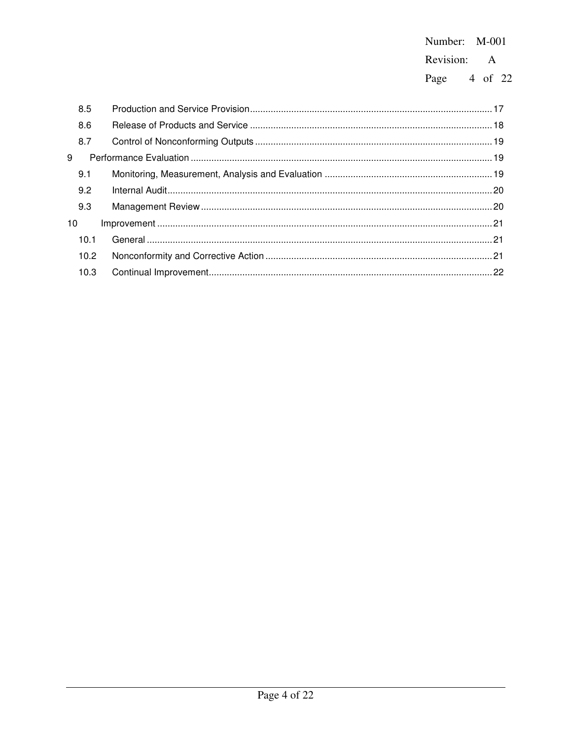# Number: M-001 Revision: A

Page 4 of 22

|    | 8.5  |  |
|----|------|--|
|    | 8.6  |  |
|    | 8.7  |  |
| 9  |      |  |
|    | 9.1  |  |
|    | 9.2  |  |
|    | 9.3  |  |
| 10 |      |  |
|    | 10.1 |  |
|    | 10.2 |  |
|    | 10.3 |  |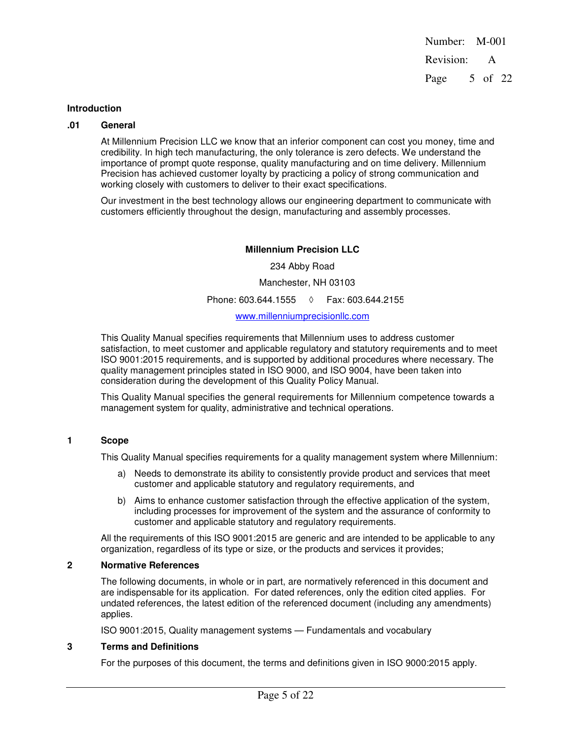Number: M-001 Revision: A Page 5 of 22

#### **Introduction**

#### **.01 General**

At Millennium Precision LLC we know that an inferior component can cost you money, time and credibility. In high tech manufacturing, the only tolerance is zero defects. We understand the importance of prompt quote response, quality manufacturing and on time delivery. Millennium Precision has achieved customer loyalty by practicing a policy of strong communication and working closely with customers to deliver to their exact specifications.

Our investment in the best technology allows our engineering department to communicate with customers efficiently throughout the design, manufacturing and assembly processes.

# **Millennium Precision LLC**

234 Abby Road Manchester, NH 03103 Phone: 603.644.1555 ◊ Fax: 603.644.21555 www.millenniumprecisionllc.com

This Quality Manual specifies requirements that Millennium uses to address customer satisfaction, to meet customer and applicable regulatory and statutory requirements and to meet ISO 9001:2015 requirements, and is supported by additional procedures where necessary. The quality management principles stated in ISO 9000, and ISO 9004, have been taken into consideration during the development of this Quality Policy Manual.

This Quality Manual specifies the general requirements for Millennium competence towards a management system for quality, administrative and technical operations.

#### **1 Scope**

This Quality Manual specifies requirements for a quality management system where Millennium:

- a) Needs to demonstrate its ability to consistently provide product and services that meet customer and applicable statutory and regulatory requirements, and
- b) Aims to enhance customer satisfaction through the effective application of the system, including processes for improvement of the system and the assurance of conformity to customer and applicable statutory and regulatory requirements.

All the requirements of this ISO 9001:2015 are generic and are intended to be applicable to any organization, regardless of its type or size, or the products and services it provides;

### **2 Normative References**

The following documents, in whole or in part, are normatively referenced in this document and are indispensable for its application. For dated references, only the edition cited applies. For undated references, the latest edition of the referenced document (including any amendments) applies.

ISO 9001:2015, Quality management systems — Fundamentals and vocabulary

#### **3 Terms and Definitions**

For the purposes of this document, the terms and definitions given in ISO 9000:2015 apply.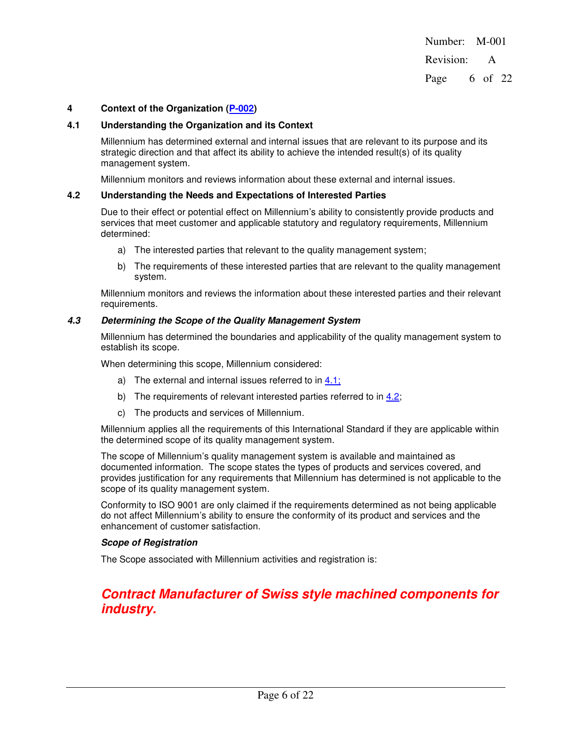Number: M-001 Revision: A Page 6 of 22

#### **4 Context of the Organization (P-002)**

# **4.1 Understanding the Organization and its Context**

Millennium has determined external and internal issues that are relevant to its purpose and its strategic direction and that affect its ability to achieve the intended result(s) of its quality management system.

Millennium monitors and reviews information about these external and internal issues.

#### **4.2 Understanding the Needs and Expectations of Interested Parties**

Due to their effect or potential effect on Millennium's ability to consistently provide products and services that meet customer and applicable statutory and regulatory requirements, Millennium determined:

- a) The interested parties that relevant to the quality management system;
- b) The requirements of these interested parties that are relevant to the quality management system.

Millennium monitors and reviews the information about these interested parties and their relevant requirements.

#### **4.3 Determining the Scope of the Quality Management System**

Millennium has determined the boundaries and applicability of the quality management system to establish its scope.

When determining this scope, Millennium considered:

- a) The external and internal issues referred to in 4.1;
- b) The requirements of relevant interested parties referred to in 4.2;
- c) The products and services of Millennium.

Millennium applies all the requirements of this International Standard if they are applicable within the determined scope of its quality management system.

The scope of Millennium's quality management system is available and maintained as documented information. The scope states the types of products and services covered, and provides justification for any requirements that Millennium has determined is not applicable to the scope of its quality management system.

Conformity to ISO 9001 are only claimed if the requirements determined as not being applicable do not affect Millennium's ability to ensure the conformity of its product and services and the enhancement of customer satisfaction.

#### **Scope of Registration**

The Scope associated with Millennium activities and registration is:

# **Contract Manufacturer of Swiss style machined components for industry.**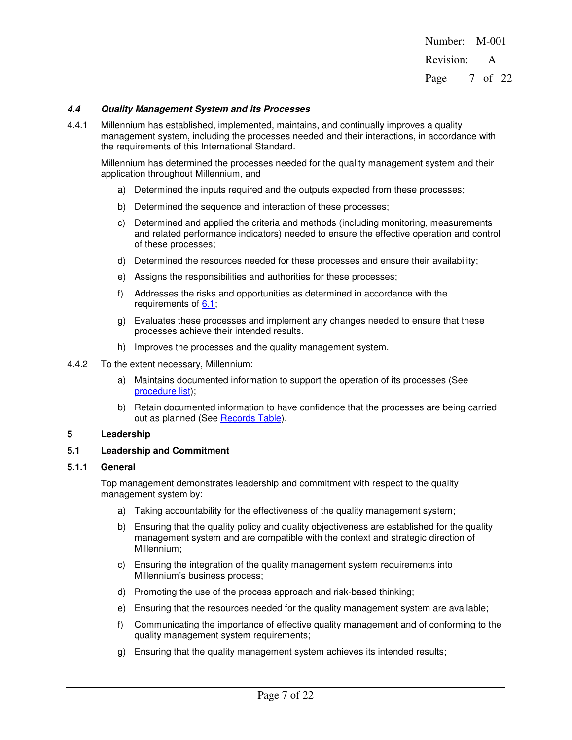Number: M-001 Revision: A Page 7 of 22

#### **4.4 Quality Management System and its Processes**

4.4.1 Millennium has established, implemented, maintains, and continually improves a quality management system, including the processes needed and their interactions, in accordance with the requirements of this International Standard.

Millennium has determined the processes needed for the quality management system and their application throughout Millennium, and

- a) Determined the inputs required and the outputs expected from these processes;
- b) Determined the sequence and interaction of these processes;
- c) Determined and applied the criteria and methods (including monitoring, measurements and related performance indicators) needed to ensure the effective operation and control of these processes;
- d) Determined the resources needed for these processes and ensure their availability;
- e) Assigns the responsibilities and authorities for these processes;
- f) Addresses the risks and opportunities as determined in accordance with the requirements of 6.1;
- g) Evaluates these processes and implement any changes needed to ensure that these processes achieve their intended results.
- h) Improves the processes and the quality management system.
- 4.4.2 To the extent necessary, Millennium:
	- a) Maintains documented information to support the operation of its processes (See procedure list);
	- b) Retain documented information to have confidence that the processes are being carried out as planned (See Records Table).

#### **5 Leadership**

#### **5.1 Leadership and Commitment**

#### **5.1.1 General**

Top management demonstrates leadership and commitment with respect to the quality management system by:

- a) Taking accountability for the effectiveness of the quality management system;
- b) Ensuring that the quality policy and quality objectiveness are established for the quality management system and are compatible with the context and strategic direction of Millennium;
- c) Ensuring the integration of the quality management system requirements into Millennium's business process;
- d) Promoting the use of the process approach and risk-based thinking;
- e) Ensuring that the resources needed for the quality management system are available;
- f) Communicating the importance of effective quality management and of conforming to the quality management system requirements;
- g) Ensuring that the quality management system achieves its intended results;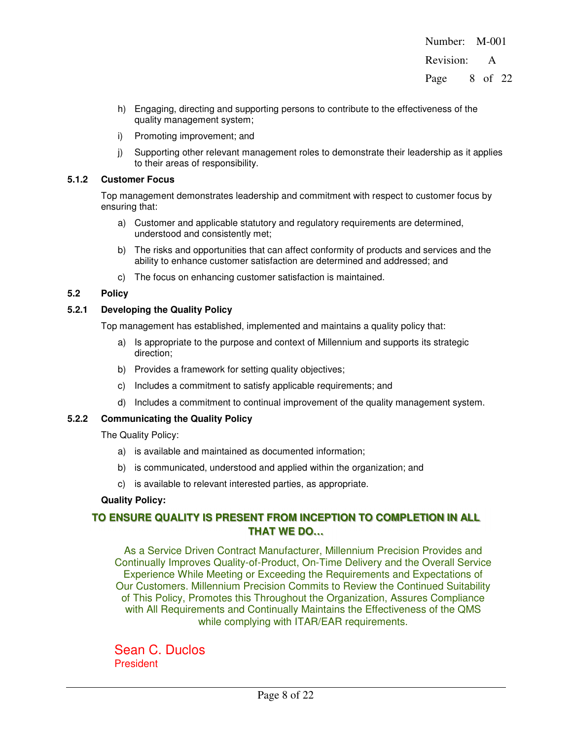Revision: A

Page 8 of 22

- h) Engaging, directing and supporting persons to contribute to the effectiveness of the quality management system;
- i) Promoting improvement; and
- j) Supporting other relevant management roles to demonstrate their leadership as it applies to their areas of responsibility.

### **5.1.2 Customer Focus**

Top management demonstrates leadership and commitment with respect to customer focus by ensuring that:

- a) Customer and applicable statutory and regulatory requirements are determined, understood and consistently met;
- b) The risks and opportunities that can affect conformity of products and services and the ability to enhance customer satisfaction are determined and addressed; and
- c) The focus on enhancing customer satisfaction is maintained.

# **5.2 Policy**

# **5.2.1 Developing the Quality Policy**

Top management has established, implemented and maintains a quality policy that:

- a) Is appropriate to the purpose and context of Millennium and supports its strategic direction;
- b) Provides a framework for setting quality objectives;
- c) Includes a commitment to satisfy applicable requirements; and
- d) Includes a commitment to continual improvement of the quality management system.

# **5.2.2 Communicating the Quality Policy**

The Quality Policy:

- a) is available and maintained as documented information;
- b) is communicated, understood and applied within the organization; and
- c) is available to relevant interested parties, as appropriate.

# **Quality Policy:**

# **TO ENSURE QUALITY IS PRESENT FROM INCEPTION TO COMPLETION IN ALL THAT WE DO…**

As a Service Driven Contract Manufacturer, Millennium Precision Provides and Continually Improves Quality-of-Product, On-Time Delivery and the Overall Service Experience While Meeting or Exceeding the Requirements and Expectations of Our Customers. Millennium Precision Commits to Review the Continued Suitability of This Policy, Promotes this Throughout the Organization, Assures Compliance with All Requirements and Continually Maintains the Effectiveness of the QMS while complying with ITAR/EAR requirements.

Sean C. Duclos **President**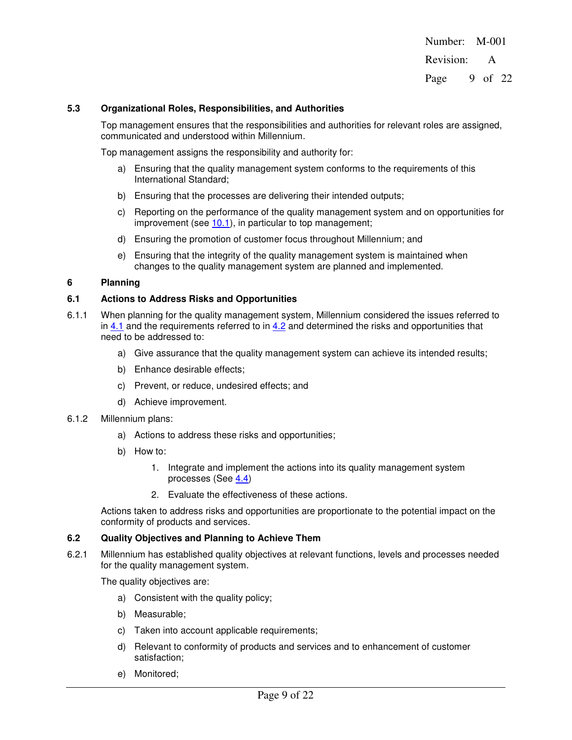Number: M-001 Revision: A Page 9 of 22

#### **5.3 Organizational Roles, Responsibilities, and Authorities**

Top management ensures that the responsibilities and authorities for relevant roles are assigned, communicated and understood within Millennium.

Top management assigns the responsibility and authority for:

- a) Ensuring that the quality management system conforms to the requirements of this International Standard;
- b) Ensuring that the processes are delivering their intended outputs;
- c) Reporting on the performance of the quality management system and on opportunities for improvement (see 10.1), in particular to top management;
- d) Ensuring the promotion of customer focus throughout Millennium; and
- e) Ensuring that the integrity of the quality management system is maintained when changes to the quality management system are planned and implemented.

### **6 Planning**

#### **6.1 Actions to Address Risks and Opportunities**

- 6.1.1 When planning for the quality management system, Millennium considered the issues referred to in  $4.1$  and the requirements referred to in  $4.2$  and determined the risks and opportunities that need to be addressed to:
	- a) Give assurance that the quality management system can achieve its intended results;
	- b) Enhance desirable effects;
	- c) Prevent, or reduce, undesired effects; and
	- d) Achieve improvement.
- 6.1.2 Millennium plans:
	- a) Actions to address these risks and opportunities;
	- b) How to:
		- 1. Integrate and implement the actions into its quality management system processes (See 4.4)
		- 2. Evaluate the effectiveness of these actions.

Actions taken to address risks and opportunities are proportionate to the potential impact on the conformity of products and services.

#### **6.2 Quality Objectives and Planning to Achieve Them**

6.2.1 Millennium has established quality objectives at relevant functions, levels and processes needed for the quality management system.

The quality objectives are:

- a) Consistent with the quality policy;
- b) Measurable;
- c) Taken into account applicable requirements;
- d) Relevant to conformity of products and services and to enhancement of customer satisfaction;
- e) Monitored;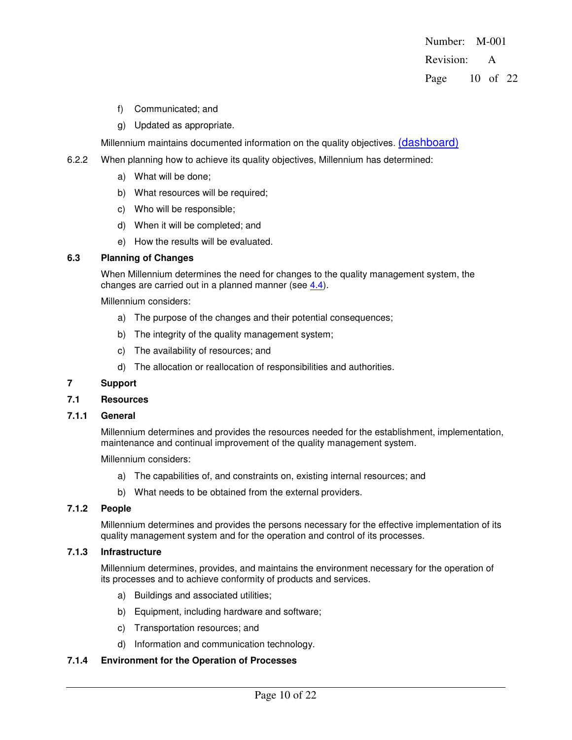Number: M-001 Revision: A Page 10 of 22

- f) Communicated; and
- g) Updated as appropriate.

Millennium maintains documented information on the quality objectives. (dashboard)

- 6.2.2 When planning how to achieve its quality objectives, Millennium has determined:
	- a) What will be done;
	- b) What resources will be required;
	- c) Who will be responsible;
	- d) When it will be completed; and
	- e) How the results will be evaluated.

# **6.3 Planning of Changes**

When Millennium determines the need for changes to the quality management system, the changes are carried out in a planned manner (see 4.4).

Millennium considers:

- a) The purpose of the changes and their potential consequences;
- b) The integrity of the quality management system;
- c) The availability of resources; and
- d) The allocation or reallocation of responsibilities and authorities.

#### **7 Support**

#### **7.1 Resources**

### **7.1.1 General**

Millennium determines and provides the resources needed for the establishment, implementation, maintenance and continual improvement of the quality management system.

Millennium considers:

- a) The capabilities of, and constraints on, existing internal resources; and
- b) What needs to be obtained from the external providers.

### **7.1.2 People**

Millennium determines and provides the persons necessary for the effective implementation of its quality management system and for the operation and control of its processes.

# **7.1.3 Infrastructure**

Millennium determines, provides, and maintains the environment necessary for the operation of its processes and to achieve conformity of products and services.

- a) Buildings and associated utilities;
- b) Equipment, including hardware and software;
- c) Transportation resources; and
- d) Information and communication technology.

#### **7.1.4 Environment for the Operation of Processes**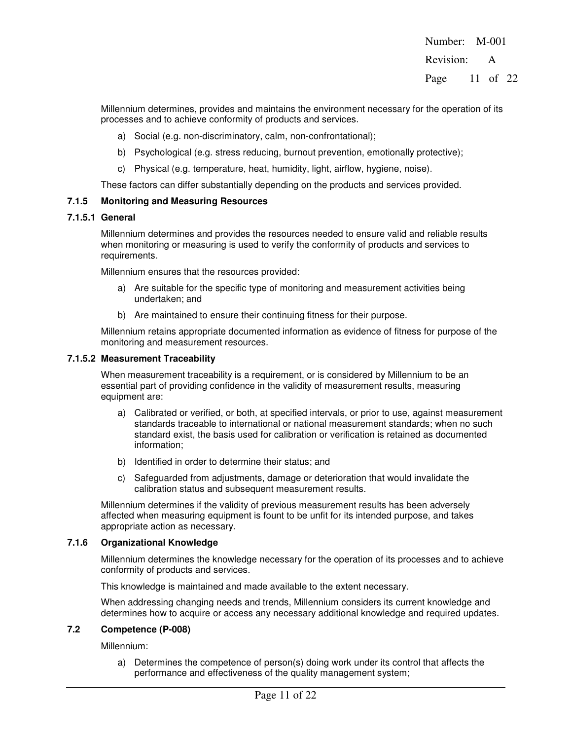Number: M-001 Revision: A

Page 11 of 22

Millennium determines, provides and maintains the environment necessary for the operation of its processes and to achieve conformity of products and services.

- a) Social (e.g. non-discriminatory, calm, non-confrontational);
- b) Psychological (e.g. stress reducing, burnout prevention, emotionally protective);
- c) Physical (e.g. temperature, heat, humidity, light, airflow, hygiene, noise).

These factors can differ substantially depending on the products and services provided.

# **7.1.5 Monitoring and Measuring Resources**

#### **7.1.5.1 General**

Millennium determines and provides the resources needed to ensure valid and reliable results when monitoring or measuring is used to verify the conformity of products and services to requirements.

Millennium ensures that the resources provided:

- a) Are suitable for the specific type of monitoring and measurement activities being undertaken; and
- b) Are maintained to ensure their continuing fitness for their purpose.

Millennium retains appropriate documented information as evidence of fitness for purpose of the monitoring and measurement resources.

#### **7.1.5.2 Measurement Traceability**

When measurement traceability is a requirement, or is considered by Millennium to be an essential part of providing confidence in the validity of measurement results, measuring equipment are:

- a) Calibrated or verified, or both, at specified intervals, or prior to use, against measurement standards traceable to international or national measurement standards; when no such standard exist, the basis used for calibration or verification is retained as documented information;
- b) Identified in order to determine their status; and
- c) Safeguarded from adjustments, damage or deterioration that would invalidate the calibration status and subsequent measurement results.

Millennium determines if the validity of previous measurement results has been adversely affected when measuring equipment is fount to be unfit for its intended purpose, and takes appropriate action as necessary.

#### **7.1.6 Organizational Knowledge**

Millennium determines the knowledge necessary for the operation of its processes and to achieve conformity of products and services.

This knowledge is maintained and made available to the extent necessary.

When addressing changing needs and trends, Millennium considers its current knowledge and determines how to acquire or access any necessary additional knowledge and required updates.

# **7.2 Competence (P-008)**

Millennium:

a) Determines the competence of person(s) doing work under its control that affects the performance and effectiveness of the quality management system;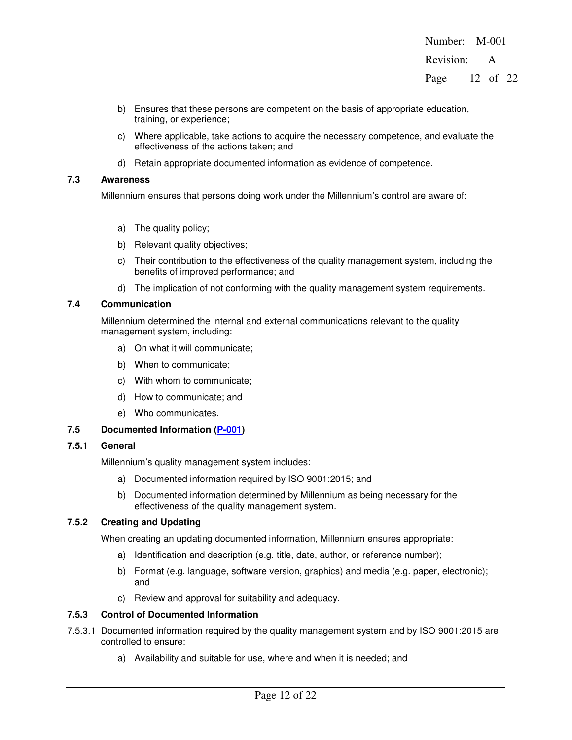Number: M-001 Revision: A

Page 12 of 22

- b) Ensures that these persons are competent on the basis of appropriate education, training, or experience;
- c) Where applicable, take actions to acquire the necessary competence, and evaluate the effectiveness of the actions taken; and
- d) Retain appropriate documented information as evidence of competence.

# **7.3 Awareness**

Millennium ensures that persons doing work under the Millennium's control are aware of:

- a) The quality policy;
- b) Relevant quality objectives;
- c) Their contribution to the effectiveness of the quality management system, including the benefits of improved performance; and
- d) The implication of not conforming with the quality management system requirements.

# **7.4 Communication**

Millennium determined the internal and external communications relevant to the quality management system, including:

- a) On what it will communicate;
- b) When to communicate;
- c) With whom to communicate;
- d) How to communicate; and
- e) Who communicates.

# **7.5 Documented Information (P-001)**

# **7.5.1 General**

Millennium's quality management system includes:

- a) Documented information required by ISO 9001:2015; and
- b) Documented information determined by Millennium as being necessary for the effectiveness of the quality management system.

# **7.5.2 Creating and Updating**

When creating an updating documented information, Millennium ensures appropriate:

- a) Identification and description (e.g. title, date, author, or reference number);
- b) Format (e.g. language, software version, graphics) and media (e.g. paper, electronic); and
- c) Review and approval for suitability and adequacy.

# **7.5.3 Control of Documented Information**

- 7.5.3.1 Documented information required by the quality management system and by ISO 9001:2015 are controlled to ensure:
	- a) Availability and suitable for use, where and when it is needed; and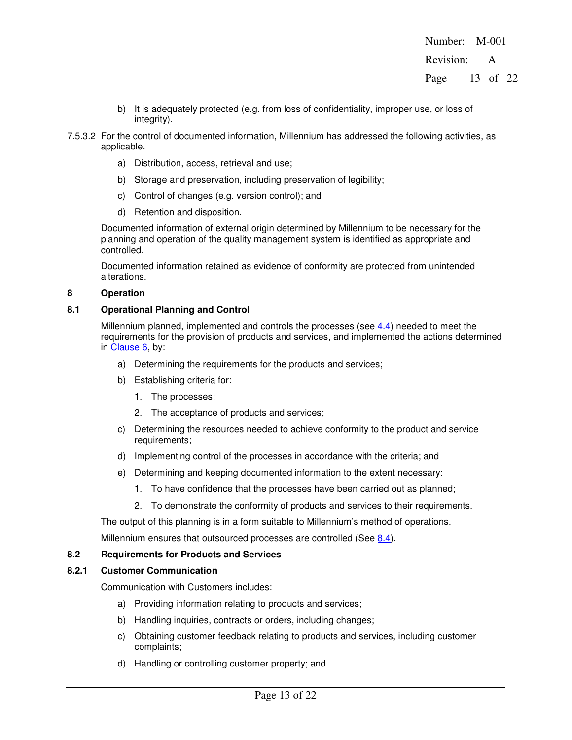Revision: A

Page 13 of 22

- b) It is adequately protected (e.g. from loss of confidentiality, improper use, or loss of integrity).
- 7.5.3.2 For the control of documented information, Millennium has addressed the following activities, as applicable.
	- a) Distribution, access, retrieval and use;
	- b) Storage and preservation, including preservation of legibility;
	- c) Control of changes (e.g. version control); and
	- d) Retention and disposition.

Documented information of external origin determined by Millennium to be necessary for the planning and operation of the quality management system is identified as appropriate and controlled.

Documented information retained as evidence of conformity are protected from unintended alterations.

# **8 Operation**

# **8.1 Operational Planning and Control**

Millennium planned, implemented and controls the processes (see 4.4) needed to meet the requirements for the provision of products and services, and implemented the actions determined in Clause 6, by:

- a) Determining the requirements for the products and services;
- b) Establishing criteria for:
	- 1. The processes;
	- 2. The acceptance of products and services;
- c) Determining the resources needed to achieve conformity to the product and service requirements;
- d) Implementing control of the processes in accordance with the criteria; and
- e) Determining and keeping documented information to the extent necessary:
	- 1. To have confidence that the processes have been carried out as planned;
	- 2. To demonstrate the conformity of products and services to their requirements.

The output of this planning is in a form suitable to Millennium's method of operations.

Millennium ensures that outsourced processes are controlled (See 8.4).

# **8.2 Requirements for Products and Services**

# **8.2.1 Customer Communication**

Communication with Customers includes:

- a) Providing information relating to products and services;
- b) Handling inquiries, contracts or orders, including changes;
- c) Obtaining customer feedback relating to products and services, including customer complaints;
- d) Handling or controlling customer property; and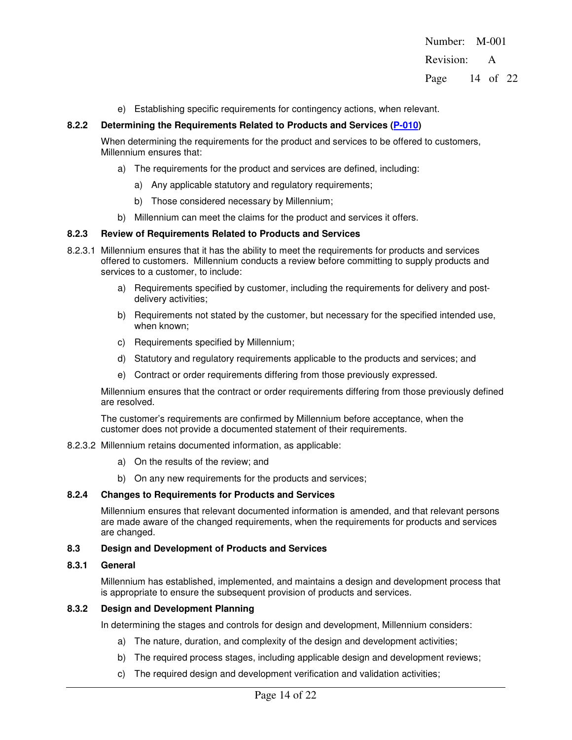Revision: A

Page 14 of 22

e) Establishing specific requirements for contingency actions, when relevant.

#### **8.2.2 Determining the Requirements Related to Products and Services (P-010)**

When determining the requirements for the product and services to be offered to customers, Millennium ensures that:

- a) The requirements for the product and services are defined, including:
	- a) Any applicable statutory and regulatory requirements;
	- b) Those considered necessary by Millennium;
- b) Millennium can meet the claims for the product and services it offers.

#### **8.2.3 Review of Requirements Related to Products and Services**

- 8.2.3.1 Millennium ensures that it has the ability to meet the requirements for products and services offered to customers. Millennium conducts a review before committing to supply products and services to a customer, to include:
	- a) Requirements specified by customer, including the requirements for delivery and postdelivery activities;
	- b) Requirements not stated by the customer, but necessary for the specified intended use, when known:
	- c) Requirements specified by Millennium;
	- d) Statutory and regulatory requirements applicable to the products and services; and
	- e) Contract or order requirements differing from those previously expressed.

Millennium ensures that the contract or order requirements differing from those previously defined are resolved.

The customer's requirements are confirmed by Millennium before acceptance, when the customer does not provide a documented statement of their requirements.

- 8.2.3.2 Millennium retains documented information, as applicable:
	- a) On the results of the review; and
	- b) On any new requirements for the products and services;

#### **8.2.4 Changes to Requirements for Products and Services**

Millennium ensures that relevant documented information is amended, and that relevant persons are made aware of the changed requirements, when the requirements for products and services are changed.

#### **8.3 Design and Development of Products and Services**

#### **8.3.1 General**

Millennium has established, implemented, and maintains a design and development process that is appropriate to ensure the subsequent provision of products and services.

#### **8.3.2 Design and Development Planning**

In determining the stages and controls for design and development, Millennium considers:

- a) The nature, duration, and complexity of the design and development activities;
- b) The required process stages, including applicable design and development reviews;
- c) The required design and development verification and validation activities;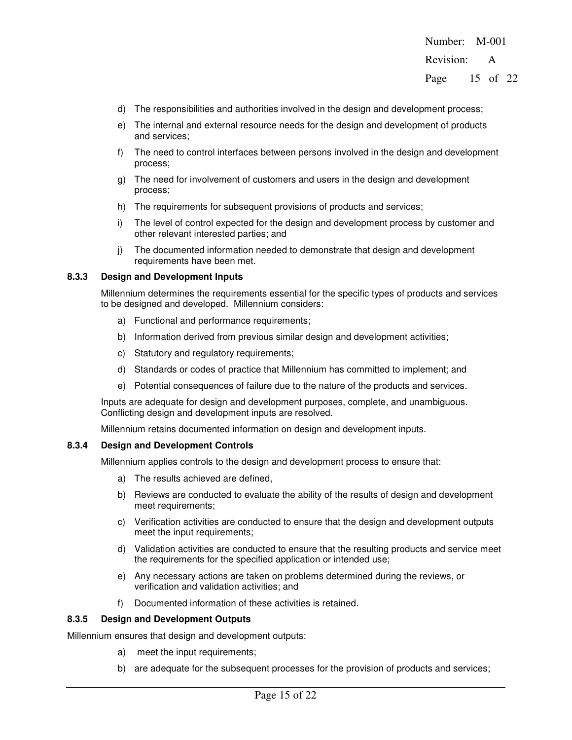Revision: A

Page 15 of 22

- d) The responsibilities and authorities involved in the design and development process;
- e) The internal and external resource needs for the design and development of products and services;
- f) The need to control interfaces between persons involved in the design and development process;
- g) The need for involvement of customers and users in the design and development process;
- h) The requirements for subsequent provisions of products and services;
- i) The level of control expected for the design and development process by customer and other relevant interested parties; and
- j) The documented information needed to demonstrate that design and development requirements have been met.

#### **8.3.3 Design and Development Inputs**

Millennium determines the requirements essential for the specific types of products and services to be designed and developed. Millennium considers:

- a) Functional and performance requirements;
- b) Information derived from previous similar design and development activities;
- c) Statutory and regulatory requirements;
- d) Standards or codes of practice that Millennium has committed to implement; and
- e) Potential consequences of failure due to the nature of the products and services.

Inputs are adequate for design and development purposes, complete, and unambiguous. Conflicting design and development inputs are resolved.

Millennium retains documented information on design and development inputs.

#### **8.3.4 Design and Development Controls**

Millennium applies controls to the design and development process to ensure that:

- a) The results achieved are defined,
- b) Reviews are conducted to evaluate the ability of the results of design and development meet requirements;
- c) Verification activities are conducted to ensure that the design and development outputs meet the input requirements;
- d) Validation activities are conducted to ensure that the resulting products and service meet the requirements for the specified application or intended use;
- e) Any necessary actions are taken on problems determined during the reviews, or verification and validation activities; and
- f) Documented information of these activities is retained.

#### **8.3.5 Design and Development Outputs**

Millennium ensures that design and development outputs:

- a) meet the input requirements;
- b) are adequate for the subsequent processes for the provision of products and services;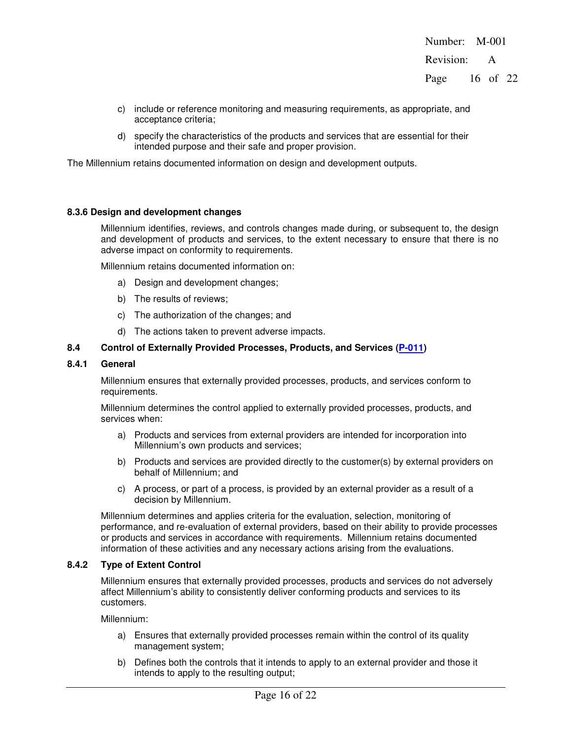Number: M-001 Revision: A Page 16 of 22

- c) include or reference monitoring and measuring requirements, as appropriate, and acceptance criteria;
- d) specify the characteristics of the products and services that are essential for their intended purpose and their safe and proper provision.

The Millennium retains documented information on design and development outputs.

#### **8.3.6 Design and development changes**

Millennium identifies, reviews, and controls changes made during, or subsequent to, the design and development of products and services, to the extent necessary to ensure that there is no adverse impact on conformity to requirements.

Millennium retains documented information on:

- a) Design and development changes;
- b) The results of reviews;
- c) The authorization of the changes; and
- d) The actions taken to prevent adverse impacts.

#### **8.4 Control of Externally Provided Processes, Products, and Services (P-011)**

#### **8.4.1 General**

Millennium ensures that externally provided processes, products, and services conform to requirements.

Millennium determines the control applied to externally provided processes, products, and services when:

- a) Products and services from external providers are intended for incorporation into Millennium's own products and services;
- b) Products and services are provided directly to the customer(s) by external providers on behalf of Millennium; and
- c) A process, or part of a process, is provided by an external provider as a result of a decision by Millennium.

Millennium determines and applies criteria for the evaluation, selection, monitoring of performance, and re-evaluation of external providers, based on their ability to provide processes or products and services in accordance with requirements. Millennium retains documented information of these activities and any necessary actions arising from the evaluations.

#### **8.4.2 Type of Extent Control**

Millennium ensures that externally provided processes, products and services do not adversely affect Millennium's ability to consistently deliver conforming products and services to its customers.

Millennium:

- a) Ensures that externally provided processes remain within the control of its quality management system;
- b) Defines both the controls that it intends to apply to an external provider and those it intends to apply to the resulting output;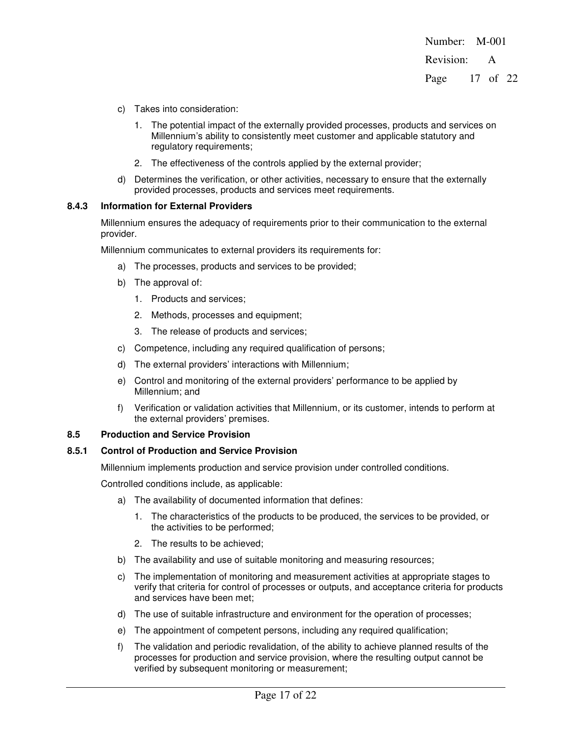Number: M-001 Revision: A Page 17 of 22

- c) Takes into consideration:
	- 1. The potential impact of the externally provided processes, products and services on Millennium's ability to consistently meet customer and applicable statutory and regulatory requirements;
	- 2. The effectiveness of the controls applied by the external provider;
- d) Determines the verification, or other activities, necessary to ensure that the externally provided processes, products and services meet requirements.

#### **8.4.3 Information for External Providers**

Millennium ensures the adequacy of requirements prior to their communication to the external provider.

Millennium communicates to external providers its requirements for:

- a) The processes, products and services to be provided;
- b) The approval of:
	- 1. Products and services;
	- 2. Methods, processes and equipment;
	- 3. The release of products and services;
- c) Competence, including any required qualification of persons;
- d) The external providers' interactions with Millennium;
- e) Control and monitoring of the external providers' performance to be applied by Millennium; and
- f) Verification or validation activities that Millennium, or its customer, intends to perform at the external providers' premises.

#### **8.5 Production and Service Provision**

#### **8.5.1 Control of Production and Service Provision**

Millennium implements production and service provision under controlled conditions.

Controlled conditions include, as applicable:

- a) The availability of documented information that defines:
	- 1. The characteristics of the products to be produced, the services to be provided, or the activities to be performed;
	- 2. The results to be achieved;
- b) The availability and use of suitable monitoring and measuring resources;
- c) The implementation of monitoring and measurement activities at appropriate stages to verify that criteria for control of processes or outputs, and acceptance criteria for products and services have been met;
- d) The use of suitable infrastructure and environment for the operation of processes;
- e) The appointment of competent persons, including any required qualification;
- f) The validation and periodic revalidation, of the ability to achieve planned results of the processes for production and service provision, where the resulting output cannot be verified by subsequent monitoring or measurement;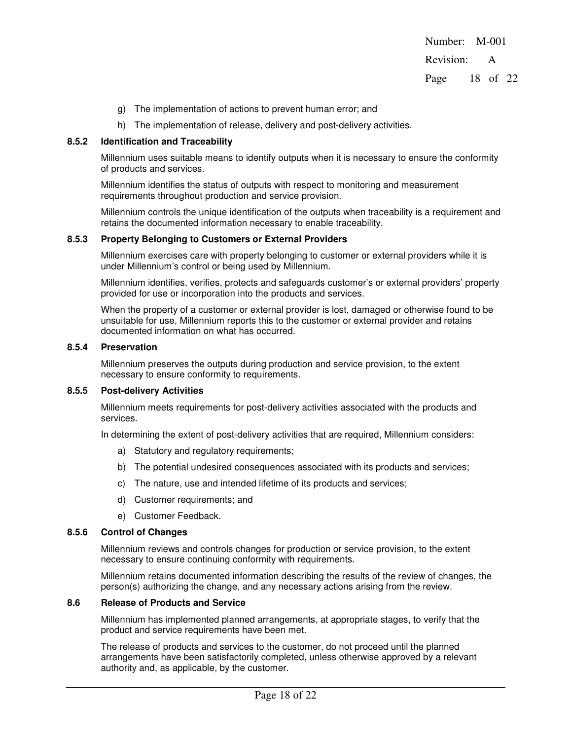Number: M-001 Revision: A Page 18 of 22

- g) The implementation of actions to prevent human error; and
- h) The implementation of release, delivery and post-delivery activities.

### **8.5.2 Identification and Traceability**

Millennium uses suitable means to identify outputs when it is necessary to ensure the conformity of products and services.

Millennium identifies the status of outputs with respect to monitoring and measurement requirements throughout production and service provision.

Millennium controls the unique identification of the outputs when traceability is a requirement and retains the documented information necessary to enable traceability.

#### **8.5.3 Property Belonging to Customers or External Providers**

Millennium exercises care with property belonging to customer or external providers while it is under Millennium's control or being used by Millennium.

Millennium identifies, verifies, protects and safeguards customer's or external providers' property provided for use or incorporation into the products and services.

When the property of a customer or external provider is lost, damaged or otherwise found to be unsuitable for use, Millennium reports this to the customer or external provider and retains documented information on what has occurred.

#### **8.5.4 Preservation**

Millennium preserves the outputs during production and service provision, to the extent necessary to ensure conformity to requirements.

#### **8.5.5 Post-delivery Activities**

Millennium meets requirements for post-delivery activities associated with the products and services.

In determining the extent of post-delivery activities that are required, Millennium considers:

- a) Statutory and regulatory requirements;
- b) The potential undesired consequences associated with its products and services;
- c) The nature, use and intended lifetime of its products and services;
- d) Customer requirements; and
- e) Customer Feedback.

#### **8.5.6 Control of Changes**

Millennium reviews and controls changes for production or service provision, to the extent necessary to ensure continuing conformity with requirements.

Millennium retains documented information describing the results of the review of changes, the person(s) authorizing the change, and any necessary actions arising from the review.

#### **8.6 Release of Products and Service**

Millennium has implemented planned arrangements, at appropriate stages, to verify that the product and service requirements have been met.

The release of products and services to the customer, do not proceed until the planned arrangements have been satisfactorily completed, unless otherwise approved by a relevant authority and, as applicable, by the customer.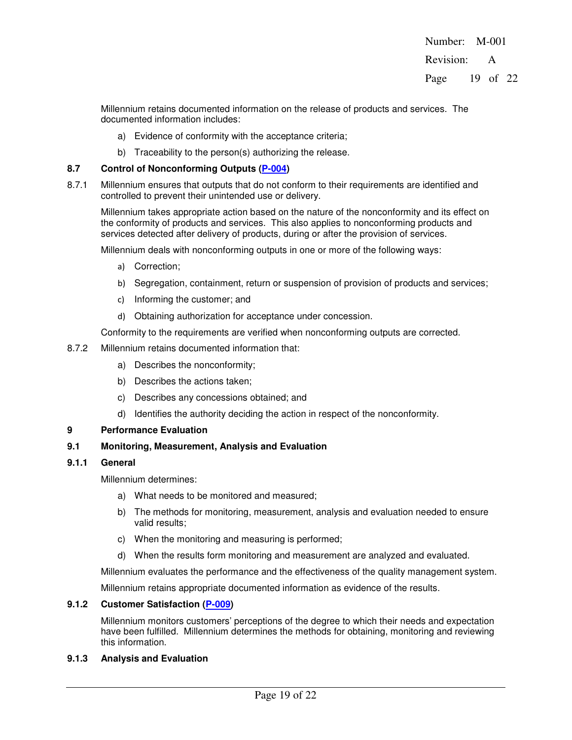Revision: A

Page 19 of 22

Millennium retains documented information on the release of products and services. The documented information includes:

- a) Evidence of conformity with the acceptance criteria;
- b) Traceability to the person(s) authorizing the release.

# **8.7 Control of Nonconforming Outputs (P-004)**

8.7.1 Millennium ensures that outputs that do not conform to their requirements are identified and controlled to prevent their unintended use or delivery.

Millennium takes appropriate action based on the nature of the nonconformity and its effect on the conformity of products and services. This also applies to nonconforming products and services detected after delivery of products, during or after the provision of services.

Millennium deals with nonconforming outputs in one or more of the following ways:

- a) Correction;
- b) Segregation, containment, return or suspension of provision of products and services;
- c) Informing the customer; and
- d) Obtaining authorization for acceptance under concession.

Conformity to the requirements are verified when nonconforming outputs are corrected.

- 8.7.2 Millennium retains documented information that:
	- a) Describes the nonconformity;
	- b) Describes the actions taken;
	- c) Describes any concessions obtained; and
	- d) Identifies the authority deciding the action in respect of the nonconformity.

# **9 Performance Evaluation**

# **9.1 Monitoring, Measurement, Analysis and Evaluation**

# **9.1.1 General**

Millennium determines:

- a) What needs to be monitored and measured;
- b) The methods for monitoring, measurement, analysis and evaluation needed to ensure valid results;
- c) When the monitoring and measuring is performed;
- d) When the results form monitoring and measurement are analyzed and evaluated.

Millennium evaluates the performance and the effectiveness of the quality management system.

Millennium retains appropriate documented information as evidence of the results.

# **9.1.2 Customer Satisfaction (P-009)**

Millennium monitors customers' perceptions of the degree to which their needs and expectation have been fulfilled. Millennium determines the methods for obtaining, monitoring and reviewing this information.

# **9.1.3 Analysis and Evaluation**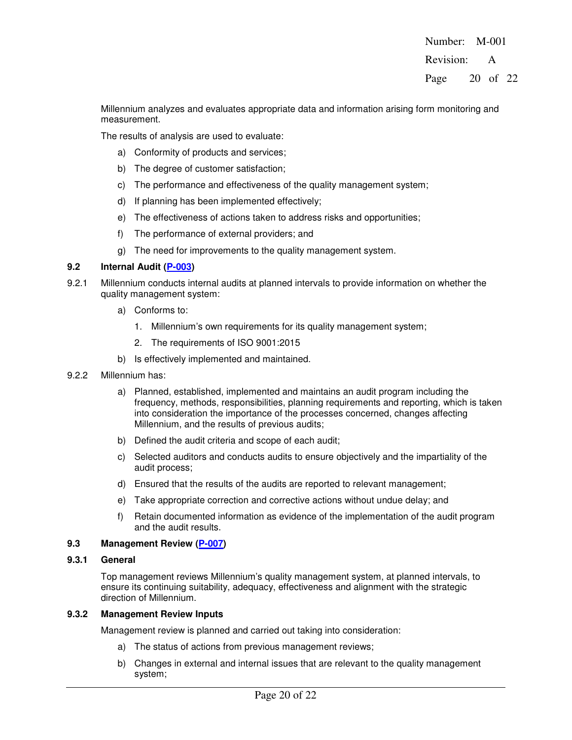Revision: A

Page 20 of 22

Millennium analyzes and evaluates appropriate data and information arising form monitoring and measurement.

The results of analysis are used to evaluate:

- a) Conformity of products and services;
- b) The degree of customer satisfaction;
- c) The performance and effectiveness of the quality management system;
- d) If planning has been implemented effectively;
- e) The effectiveness of actions taken to address risks and opportunities;
- f) The performance of external providers; and
- g) The need for improvements to the quality management system.

#### **9.2 Internal Audit (P-003)**

- 9.2.1 Millennium conducts internal audits at planned intervals to provide information on whether the quality management system:
	- a) Conforms to:
		- 1. Millennium's own requirements for its quality management system;
		- 2. The requirements of ISO 9001:2015
	- b) Is effectively implemented and maintained.
- 9.2.2 Millennium has:
	- a) Planned, established, implemented and maintains an audit program including the frequency, methods, responsibilities, planning requirements and reporting, which is taken into consideration the importance of the processes concerned, changes affecting Millennium, and the results of previous audits;
	- b) Defined the audit criteria and scope of each audit;
	- c) Selected auditors and conducts audits to ensure objectively and the impartiality of the audit process;
	- d) Ensured that the results of the audits are reported to relevant management;
	- e) Take appropriate correction and corrective actions without undue delay; and
	- f) Retain documented information as evidence of the implementation of the audit program and the audit results.

#### **9.3 Management Review (P-007)**

#### **9.3.1 General**

Top management reviews Millennium's quality management system, at planned intervals, to ensure its continuing suitability, adequacy, effectiveness and alignment with the strategic direction of Millennium.

#### **9.3.2 Management Review Inputs**

Management review is planned and carried out taking into consideration:

- a) The status of actions from previous management reviews;
- b) Changes in external and internal issues that are relevant to the quality management system;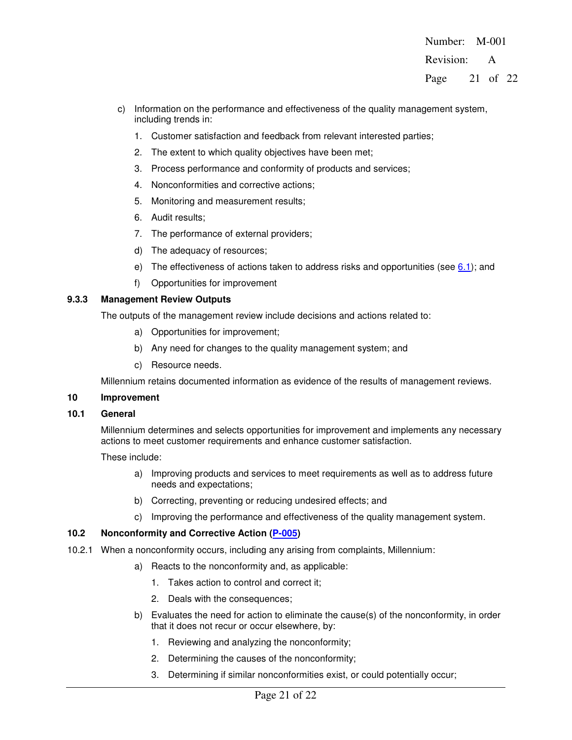Number: M-001 Revision: A Page 21 of 22

- c) Information on the performance and effectiveness of the quality management system, including trends in:
	- 1. Customer satisfaction and feedback from relevant interested parties;
	- 2. The extent to which quality objectives have been met;
	- 3. Process performance and conformity of products and services;
	- 4. Nonconformities and corrective actions;
	- 5. Monitoring and measurement results;
	- 6. Audit results;
	- 7. The performance of external providers;
	- d) The adequacy of resources;
	- e) The effectiveness of actions taken to address risks and opportunities (see  $6.1$ ); and
	- f) Opportunities for improvement

# **9.3.3 Management Review Outputs**

The outputs of the management review include decisions and actions related to:

- a) Opportunities for improvement;
- b) Any need for changes to the quality management system; and
- c) Resource needs.

Millennium retains documented information as evidence of the results of management reviews.

# **10 Improvement**

# **10.1 General**

Millennium determines and selects opportunities for improvement and implements any necessary actions to meet customer requirements and enhance customer satisfaction.

These include:

- a) Improving products and services to meet requirements as well as to address future needs and expectations;
- b) Correcting, preventing or reducing undesired effects; and
- c) Improving the performance and effectiveness of the quality management system.

# **10.2 Nonconformity and Corrective Action (P-005)**

- 10.2.1 When a nonconformity occurs, including any arising from complaints, Millennium:
	- a) Reacts to the nonconformity and, as applicable:
		- 1. Takes action to control and correct it;
		- 2. Deals with the consequences;
	- b) Evaluates the need for action to eliminate the cause(s) of the nonconformity, in order that it does not recur or occur elsewhere, by:
		- 1. Reviewing and analyzing the nonconformity;
		- 2. Determining the causes of the nonconformity;
		- 3. Determining if similar nonconformities exist, or could potentially occur;